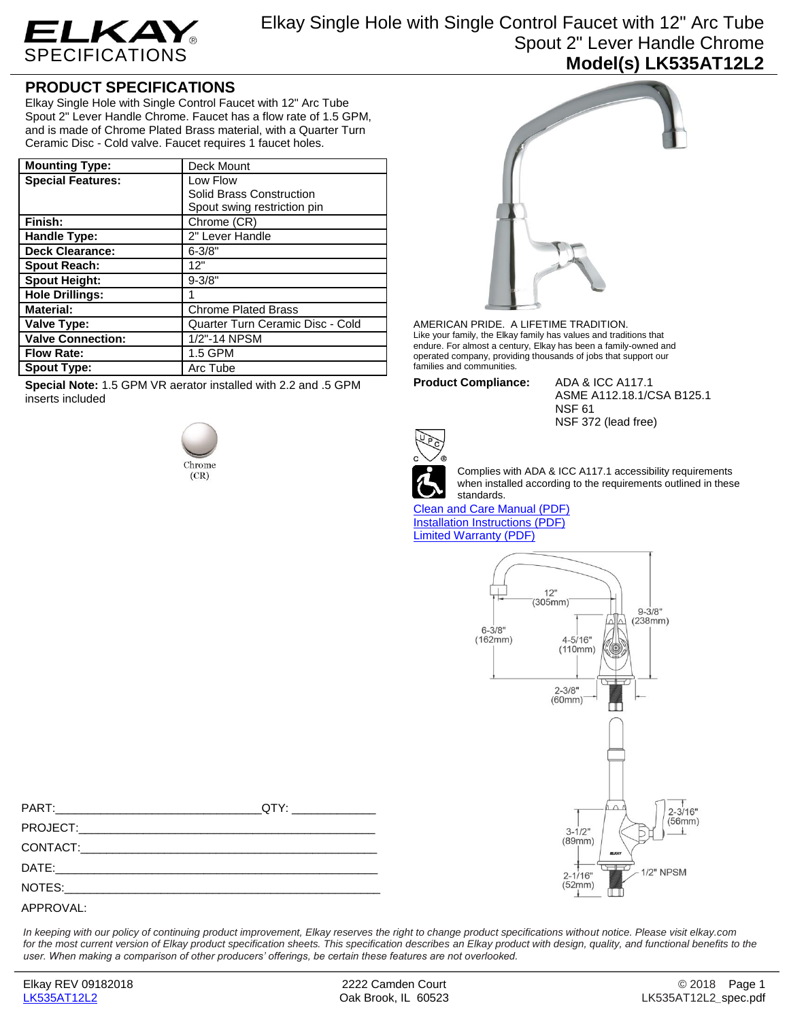

Elkay Single Hole with Single Control Faucet with 12" Arc Tube Spout 2" Lever Handle Chrome **Model(s) LK535AT12L2**

## **PRODUCT SPECIFICATIONS**

Elkay Single Hole with Single Control Faucet with 12" Arc Tube Spout 2" Lever Handle Chrome. Faucet has a flow rate of 1.5 GPM, and is made of Chrome Plated Brass material, with a Quarter Turn Ceramic Disc - Cold valve. Faucet requires 1 faucet holes.

| <b>Mounting Type:</b>    | Deck Mount                       |  |  |
|--------------------------|----------------------------------|--|--|
| <b>Special Features:</b> | Low Flow                         |  |  |
|                          | Solid Brass Construction         |  |  |
|                          | Spout swing restriction pin      |  |  |
| Finish:                  | Chrome (CR)                      |  |  |
| Handle Type:             | 2" Lever Handle                  |  |  |
| <b>Deck Clearance:</b>   | $6 - 3/8"$                       |  |  |
| <b>Spout Reach:</b>      | 12"                              |  |  |
| <b>Spout Height:</b>     | $9 - 3/8"$                       |  |  |
| <b>Hole Drillings:</b>   |                                  |  |  |
| <b>Material:</b>         | <b>Chrome Plated Brass</b>       |  |  |
| Valve Type:              | Quarter Turn Ceramic Disc - Cold |  |  |
| <b>Valve Connection:</b> | 1/2"-14 NPSM                     |  |  |
| <b>Flow Rate:</b>        | 1.5 GPM                          |  |  |
| <b>Spout Type:</b>       | Arc Tube                         |  |  |

**Special Note:** 1.5 GPM VR aerator installed with 2.2 and .5 GPM inserts included





AMERICAN PRIDE. A LIFETIME TRADITION. Like your family, the Elkay family has values and traditions that endure. For almost a century, Elkay has been a family-owned and operated company, providing thousands of jobs that support our families and communities.

NSF 61

**Product Compliance:** ADA & ICC A117.1

Complies with ADA & ICC A117.1 accessibility requirements when installed according to the requirements outlined in these standards.

NSF 372 (lead free)

ASME A112.18.1/CSA B125.1

[Clean and Care Manual \(PDF\)](http://www.elkay.com/wcsstore/lkdocs/care-cleaning-install-warranty-sheets/residential%20and%20commercial%20care%20%20cleaning.pdf) [Installation Instructions \(PDF\)](http://www.elkay.com/wcsstore/lkdocs/care-cleaning-install-warranty-sheets/a55483.pdf) [Limited Warranty](http://www.elkay.com/wcsstore/lkdocs/care-cleaning-install-warranty-sheets/commercial%20sinks%20and%20faucets%20warranty.pdf) (PDF)



*In keeping with our policy of continuing product improvement, Elkay reserves the right to change product specifications without notice. Please visit elkay.com*  for the most current version of Elkay product specification sheets. This specification describes an Elkay product with design, quality, and functional benefits to the *user. When making a comparison of other producers' offerings, be certain these features are not overlooked.*